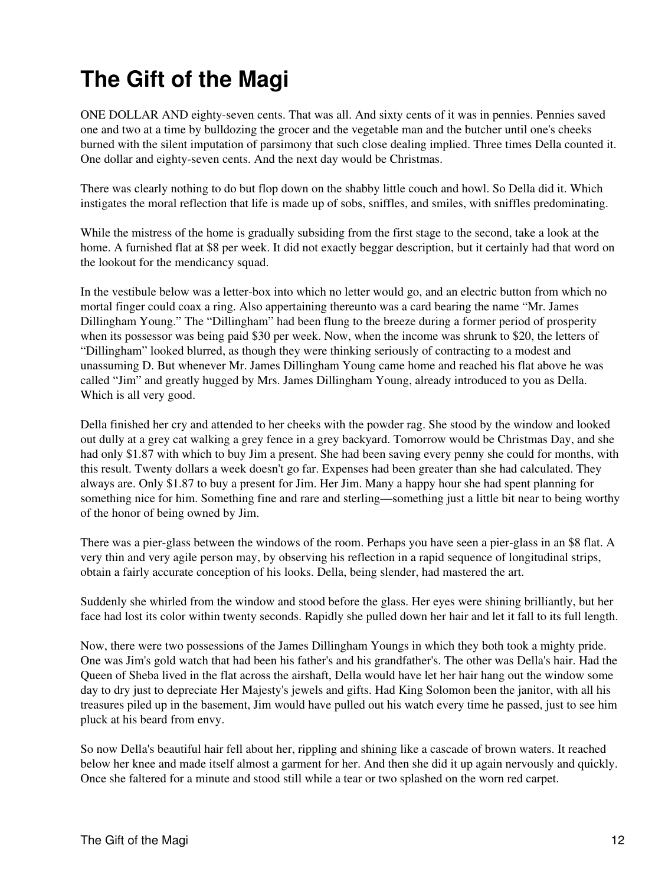## **The Gift of the Magi**

ONE DOLLAR AND eighty-seven cents. That was all. And sixty cents of it was in pennies. Pennies saved one and two at a time by bulldozing the grocer and the vegetable man and the butcher until one's cheeks burned with the silent imputation of parsimony that such close dealing implied. Three times Della counted it. One dollar and eighty-seven cents. And the next day would be Christmas.

There was clearly nothing to do but flop down on the shabby little couch and howl. So Della did it. Which instigates the moral reflection that life is made up of sobs, sniffles, and smiles, with sniffles predominating.

While the mistress of the home is gradually subsiding from the first stage to the second, take a look at the home. A furnished flat at \$8 per week. It did not exactly beggar description, but it certainly had that word on the lookout for the mendicancy squad.

In the vestibule below was a letter-box into which no letter would go, and an electric button from which no mortal finger could coax a ring. Also appertaining thereunto was a card bearing the name "Mr. James Dillingham Young." The "Dillingham" had been flung to the breeze during a former period of prosperity when its possessor was being paid \$30 per week. Now, when the income was shrunk to \$20, the letters of "Dillingham" looked blurred, as though they were thinking seriously of contracting to a modest and unassuming D. But whenever Mr. James Dillingham Young came home and reached his flat above he was called "Jim" and greatly hugged by Mrs. James Dillingham Young, already introduced to you as Della. Which is all very good.

Della finished her cry and attended to her cheeks with the powder rag. She stood by the window and looked out dully at a grey cat walking a grey fence in a grey backyard. Tomorrow would be Christmas Day, and she had only \$1.87 with which to buy Jim a present. She had been saving every penny she could for months, with this result. Twenty dollars a week doesn't go far. Expenses had been greater than she had calculated. They always are. Only \$1.87 to buy a present for Jim. Her Jim. Many a happy hour she had spent planning for something nice for him. Something fine and rare and sterling—something just a little bit near to being worthy of the honor of being owned by Jim.

There was a pier-glass between the windows of the room. Perhaps you have seen a pier-glass in an \$8 flat. A very thin and very agile person may, by observing his reflection in a rapid sequence of longitudinal strips, obtain a fairly accurate conception of his looks. Della, being slender, had mastered the art.

Suddenly she whirled from the window and stood before the glass. Her eyes were shining brilliantly, but her face had lost its color within twenty seconds. Rapidly she pulled down her hair and let it fall to its full length.

Now, there were two possessions of the James Dillingham Youngs in which they both took a mighty pride. One was Jim's gold watch that had been his father's and his grandfather's. The other was Della's hair. Had the Queen of Sheba lived in the flat across the airshaft, Della would have let her hair hang out the window some day to dry just to depreciate Her Majesty's jewels and gifts. Had King Solomon been the janitor, with all his treasures piled up in the basement, Jim would have pulled out his watch every time he passed, just to see him pluck at his beard from envy.

So now Della's beautiful hair fell about her, rippling and shining like a cascade of brown waters. It reached below her knee and made itself almost a garment for her. And then she did it up again nervously and quickly. Once she faltered for a minute and stood still while a tear or two splashed on the worn red carpet.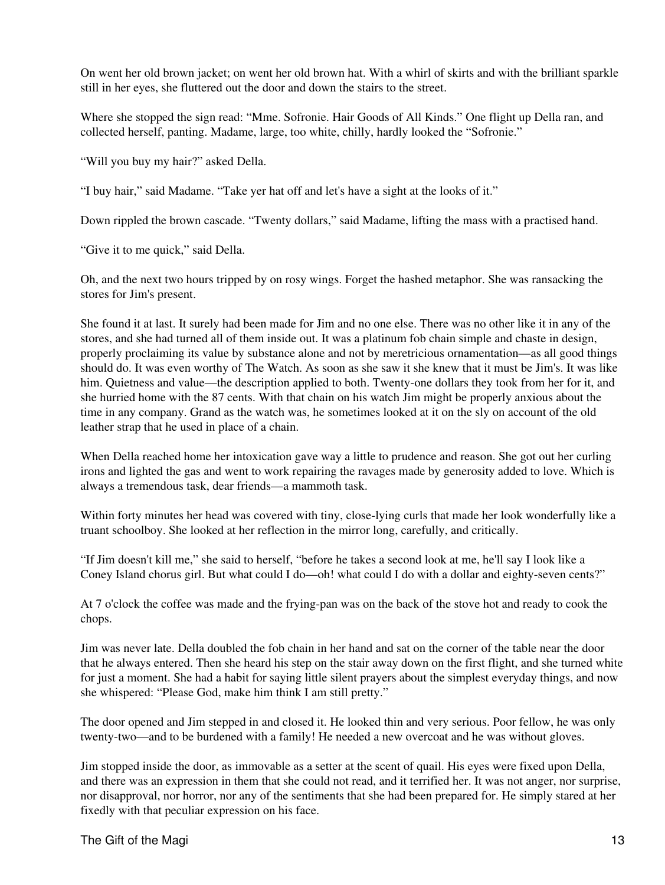On went her old brown jacket; on went her old brown hat. With a whirl of skirts and with the brilliant sparkle still in her eyes, she fluttered out the door and down the stairs to the street.

Where she stopped the sign read: "Mme. Sofronie. Hair Goods of All Kinds." One flight up Della ran, and collected herself, panting. Madame, large, too white, chilly, hardly looked the "Sofronie."

"Will you buy my hair?" asked Della.

"I buy hair," said Madame. "Take yer hat off and let's have a sight at the looks of it."

Down rippled the brown cascade. "Twenty dollars," said Madame, lifting the mass with a practised hand.

"Give it to me quick," said Della.

Oh, and the next two hours tripped by on rosy wings. Forget the hashed metaphor. She was ransacking the stores for Jim's present.

She found it at last. It surely had been made for Jim and no one else. There was no other like it in any of the stores, and she had turned all of them inside out. It was a platinum fob chain simple and chaste in design, properly proclaiming its value by substance alone and not by meretricious ornamentation—as all good things should do. It was even worthy of The Watch. As soon as she saw it she knew that it must be Jim's. It was like him. Quietness and value—the description applied to both. Twenty-one dollars they took from her for it, and she hurried home with the 87 cents. With that chain on his watch Jim might be properly anxious about the time in any company. Grand as the watch was, he sometimes looked at it on the sly on account of the old leather strap that he used in place of a chain.

When Della reached home her intoxication gave way a little to prudence and reason. She got out her curling irons and lighted the gas and went to work repairing the ravages made by generosity added to love. Which is always a tremendous task, dear friends—a mammoth task.

Within forty minutes her head was covered with tiny, close-lying curls that made her look wonderfully like a truant schoolboy. She looked at her reflection in the mirror long, carefully, and critically.

"If Jim doesn't kill me," she said to herself, "before he takes a second look at me, he'll say I look like a Coney Island chorus girl. But what could I do—oh! what could I do with a dollar and eighty-seven cents?"

At 7 o'clock the coffee was made and the frying-pan was on the back of the stove hot and ready to cook the chops.

Jim was never late. Della doubled the fob chain in her hand and sat on the corner of the table near the door that he always entered. Then she heard his step on the stair away down on the first flight, and she turned white for just a moment. She had a habit for saying little silent prayers about the simplest everyday things, and now she whispered: "Please God, make him think I am still pretty."

The door opened and Jim stepped in and closed it. He looked thin and very serious. Poor fellow, he was only twenty-two—and to be burdened with a family! He needed a new overcoat and he was without gloves.

Jim stopped inside the door, as immovable as a setter at the scent of quail. His eyes were fixed upon Della, and there was an expression in them that she could not read, and it terrified her. It was not anger, nor surprise, nor disapproval, nor horror, nor any of the sentiments that she had been prepared for. He simply stared at her fixedly with that peculiar expression on his face.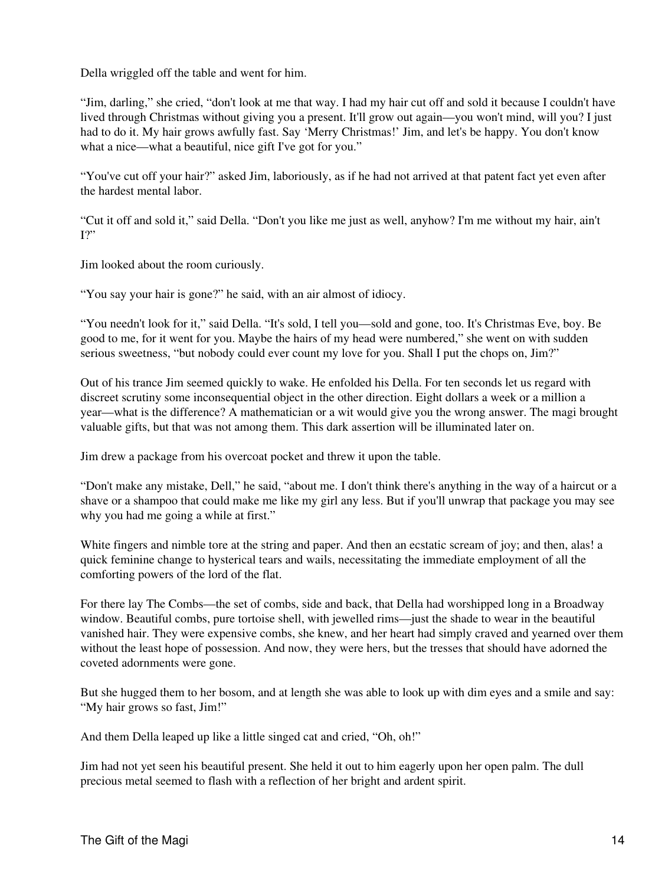Della wriggled off the table and went for him.

"Jim, darling," she cried, "don't look at me that way. I had my hair cut off and sold it because I couldn't have lived through Christmas without giving you a present. It'll grow out again—you won't mind, will you? I just had to do it. My hair grows awfully fast. Say 'Merry Christmas!' Jim, and let's be happy. You don't know what a nice—what a beautiful, nice gift I've got for you."

"You've cut off your hair?" asked Jim, laboriously, as if he had not arrived at that patent fact yet even after the hardest mental labor.

"Cut it off and sold it," said Della. "Don't you like me just as well, anyhow? I'm me without my hair, ain't I?"

Jim looked about the room curiously.

"You say your hair is gone?" he said, with an air almost of idiocy.

"You needn't look for it," said Della. "It's sold, I tell you—sold and gone, too. It's Christmas Eve, boy. Be good to me, for it went for you. Maybe the hairs of my head were numbered," she went on with sudden serious sweetness, "but nobody could ever count my love for you. Shall I put the chops on, Jim?"

Out of his trance Jim seemed quickly to wake. He enfolded his Della. For ten seconds let us regard with discreet scrutiny some inconsequential object in the other direction. Eight dollars a week or a million a year—what is the difference? A mathematician or a wit would give you the wrong answer. The magi brought valuable gifts, but that was not among them. This dark assertion will be illuminated later on.

Jim drew a package from his overcoat pocket and threw it upon the table.

"Don't make any mistake, Dell," he said, "about me. I don't think there's anything in the way of a haircut or a shave or a shampoo that could make me like my girl any less. But if you'll unwrap that package you may see why you had me going a while at first."

White fingers and nimble tore at the string and paper. And then an ecstatic scream of joy; and then, alas! a quick feminine change to hysterical tears and wails, necessitating the immediate employment of all the comforting powers of the lord of the flat.

For there lay The Combs—the set of combs, side and back, that Della had worshipped long in a Broadway window. Beautiful combs, pure tortoise shell, with jewelled rims—just the shade to wear in the beautiful vanished hair. They were expensive combs, she knew, and her heart had simply craved and yearned over them without the least hope of possession. And now, they were hers, but the tresses that should have adorned the coveted adornments were gone.

But she hugged them to her bosom, and at length she was able to look up with dim eyes and a smile and say: "My hair grows so fast, Jim!"

And them Della leaped up like a little singed cat and cried, "Oh, oh!"

Jim had not yet seen his beautiful present. She held it out to him eagerly upon her open palm. The dull precious metal seemed to flash with a reflection of her bright and ardent spirit.